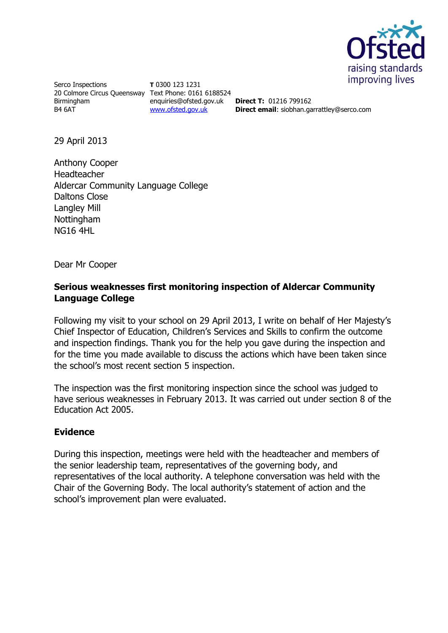

Serco Inspections 20 Colmore Circus Queensway Text Phone: 0161 6188524 Birmingham B4 6AT

**T** 0300 123 1231 enquiries@ofsted.gov.uk [www.ofsted.gov.uk](http://www.ofsted.gov.uk/)

**Direct T:** 01216 799162 **Direct email**: siobhan.garrattley@serco.com

29 April 2013

Anthony Cooper Headteacher Aldercar Community Language College Daltons Close Langley Mill Nottingham NG16 4HL

Dear Mr Cooper

## **Serious weaknesses first monitoring inspection of Aldercar Community Language College**

Following my visit to your school on 29 April 2013, I write on behalf of Her Majesty's Chief Inspector of Education, Children's Services and Skills to confirm the outcome and inspection findings. Thank you for the help you gave during the inspection and for the time you made available to discuss the actions which have been taken since the school's most recent section 5 inspection.

The inspection was the first monitoring inspection since the school was judged to have serious weaknesses in February 2013. It was carried out under section 8 of the Education Act 2005.

## **Evidence**

During this inspection, meetings were held with the headteacher and members of the senior leadership team, representatives of the governing body, and representatives of the local authority. A telephone conversation was held with the Chair of the Governing Body. The local authority's statement of action and the school's improvement plan were evaluated.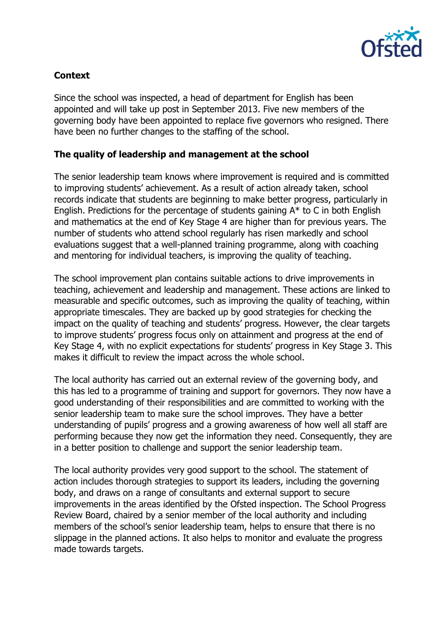

## **Context**

Since the school was inspected, a head of department for English has been appointed and will take up post in September 2013. Five new members of the governing body have been appointed to replace five governors who resigned. There have been no further changes to the staffing of the school.

## **The quality of leadership and management at the school**

The senior leadership team knows where improvement is required and is committed to improving students' achievement. As a result of action already taken, school records indicate that students are beginning to make better progress, particularly in English. Predictions for the percentage of students gaining A\* to C in both English and mathematics at the end of Key Stage 4 are higher than for previous years. The number of students who attend school regularly has risen markedly and school evaluations suggest that a well-planned training programme, along with coaching and mentoring for individual teachers, is improving the quality of teaching.

The school improvement plan contains suitable actions to drive improvements in teaching, achievement and leadership and management. These actions are linked to measurable and specific outcomes, such as improving the quality of teaching, within appropriate timescales. They are backed up by good strategies for checking the impact on the quality of teaching and students' progress. However, the clear targets to improve students' progress focus only on attainment and progress at the end of Key Stage 4, with no explicit expectations for students' progress in Key Stage 3. This makes it difficult to review the impact across the whole school.

The local authority has carried out an external review of the governing body, and this has led to a programme of training and support for governors. They now have a good understanding of their responsibilities and are committed to working with the senior leadership team to make sure the school improves. They have a better understanding of pupils' progress and a growing awareness of how well all staff are performing because they now get the information they need. Consequently, they are in a better position to challenge and support the senior leadership team.

The local authority provides very good support to the school. The statement of action includes thorough strategies to support its leaders, including the governing body, and draws on a range of consultants and external support to secure improvements in the areas identified by the Ofsted inspection. The School Progress Review Board, chaired by a senior member of the local authority and including members of the school's senior leadership team, helps to ensure that there is no slippage in the planned actions. It also helps to monitor and evaluate the progress made towards targets.